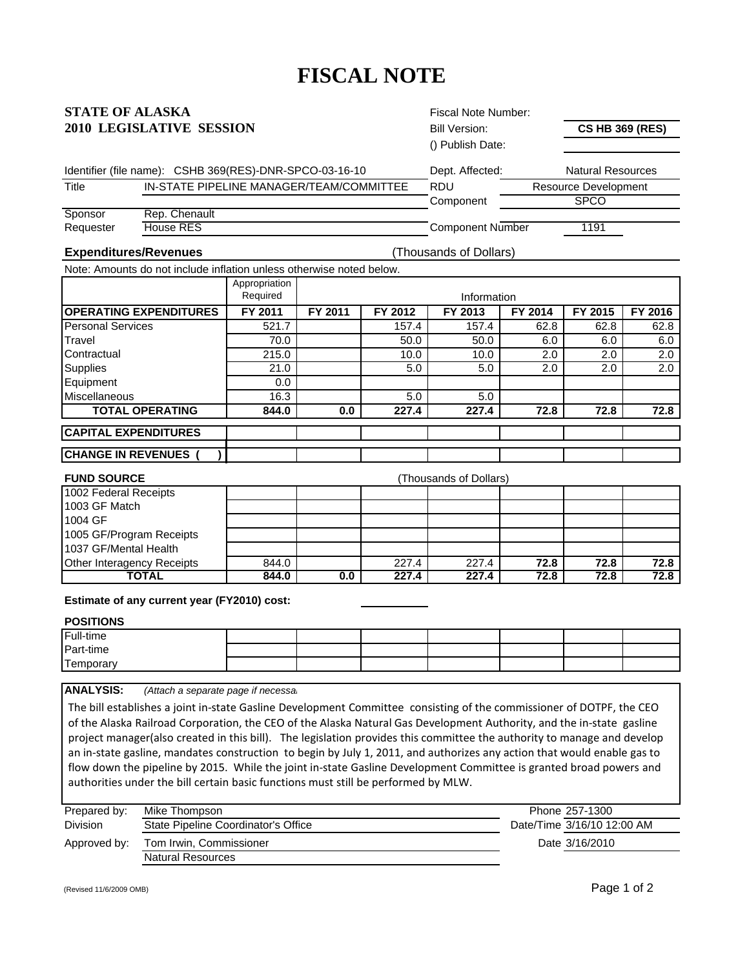# **FISCAL NOTE**

| <b>STATE OF ALASKA</b>                                                                                                                                                                                                                           |                                                                                                                         |                                          |         |                        | Fiscal Note Number:      |         |                             |         |
|--------------------------------------------------------------------------------------------------------------------------------------------------------------------------------------------------------------------------------------------------|-------------------------------------------------------------------------------------------------------------------------|------------------------------------------|---------|------------------------|--------------------------|---------|-----------------------------|---------|
|                                                                                                                                                                                                                                                  | <b>2010 LEGISLATIVE SESSION</b>                                                                                         | <b>Bill Version:</b>                     |         | <b>CS HB 369 (RES)</b> |                          |         |                             |         |
|                                                                                                                                                                                                                                                  |                                                                                                                         |                                          |         |                        | () Publish Date:         |         |                             |         |
| Identifier (file name): CSHB 369(RES)-DNR-SPCO-03-16-10                                                                                                                                                                                          |                                                                                                                         |                                          |         |                        | Dept. Affected:          |         | <b>Natural Resources</b>    |         |
| <b>Title</b>                                                                                                                                                                                                                                     |                                                                                                                         | IN-STATE PIPELINE MANAGER/TEAM/COMMITTEE |         |                        | <b>RDU</b>               |         | <b>Resource Development</b> |         |
|                                                                                                                                                                                                                                                  |                                                                                                                         |                                          |         |                        | <b>SPCO</b><br>Component |         |                             |         |
| Sponsor                                                                                                                                                                                                                                          | Rep. Chenault                                                                                                           |                                          |         |                        |                          |         |                             |         |
| Requester                                                                                                                                                                                                                                        | <b>House RES</b>                                                                                                        |                                          |         |                        | <b>Component Number</b>  |         | 1191                        |         |
| <b>Expenditures/Revenues</b>                                                                                                                                                                                                                     |                                                                                                                         |                                          |         |                        | (Thousands of Dollars)   |         |                             |         |
|                                                                                                                                                                                                                                                  | Note: Amounts do not include inflation unless otherwise noted below.                                                    |                                          |         |                        |                          |         |                             |         |
|                                                                                                                                                                                                                                                  |                                                                                                                         | Appropriation                            |         |                        |                          |         |                             |         |
|                                                                                                                                                                                                                                                  |                                                                                                                         | Required                                 |         |                        | Information              |         |                             |         |
|                                                                                                                                                                                                                                                  | <b>OPERATING EXPENDITURES</b>                                                                                           | FY 2011                                  | FY 2011 | FY 2012                | FY 2013                  | FY 2014 | FY 2015                     | FY 2016 |
| Personal Services                                                                                                                                                                                                                                |                                                                                                                         | 521.7                                    |         | 157.4                  | 157.4                    | 62.8    | 62.8                        | 62.8    |
| Travel                                                                                                                                                                                                                                           |                                                                                                                         | 70.0                                     |         | 50.0                   | 50.0                     | 6.0     | 6.0                         | 6.0     |
| Contractual                                                                                                                                                                                                                                      |                                                                                                                         | 215.0                                    |         | 10.0                   | 10.0                     | 2.0     | 2.0                         | 2.0     |
| Supplies                                                                                                                                                                                                                                         |                                                                                                                         | 21.0                                     |         | 5.0                    | 5.0                      | 2.0     | 2.0                         | 2.0     |
| Equipment                                                                                                                                                                                                                                        |                                                                                                                         | 0.0                                      |         |                        |                          |         |                             |         |
| Miscellaneous                                                                                                                                                                                                                                    |                                                                                                                         | 16.3                                     |         | 5.0                    | 5.0                      |         |                             |         |
| <b>TOTAL OPERATING</b>                                                                                                                                                                                                                           |                                                                                                                         | 844.0                                    | 0.0     | 227.4                  | 227.4                    | 72.8    | 72.8                        | 72.8    |
| <b>CAPITAL EXPENDITURES</b>                                                                                                                                                                                                                      |                                                                                                                         |                                          |         |                        |                          |         |                             |         |
| <b>CHANGE IN REVENUES</b>                                                                                                                                                                                                                        |                                                                                                                         |                                          |         |                        |                          |         |                             |         |
| <b>FUND SOURCE</b>                                                                                                                                                                                                                               |                                                                                                                         |                                          |         |                        | (Thousands of Dollars)   |         |                             |         |
| 1002 Federal Receipts                                                                                                                                                                                                                            |                                                                                                                         |                                          |         |                        |                          |         |                             |         |
| 1003 GF Match                                                                                                                                                                                                                                    |                                                                                                                         |                                          |         |                        |                          |         |                             |         |
| 1004 GF                                                                                                                                                                                                                                          |                                                                                                                         |                                          |         |                        |                          |         |                             |         |
| 1005 GF/Program Receipts                                                                                                                                                                                                                         |                                                                                                                         |                                          |         |                        |                          |         |                             |         |
| 1037 GF/Mental Health                                                                                                                                                                                                                            |                                                                                                                         |                                          |         |                        |                          |         |                             |         |
| Other Interagency Receipts                                                                                                                                                                                                                       |                                                                                                                         | 844.0                                    |         | 227.4                  | 227.4                    | 72.8    | 72.8                        | 72.8    |
|                                                                                                                                                                                                                                                  | <b>TOTAL</b>                                                                                                            | 844.0                                    | 0.0     | 227.4                  | 227.4                    | 72.8    | 72.8                        | 72.8    |
|                                                                                                                                                                                                                                                  | Estimate of any current year (FY2010) cost:                                                                             |                                          |         |                        |                          |         |                             |         |
| <b>POSITIONS</b>                                                                                                                                                                                                                                 |                                                                                                                         |                                          |         |                        |                          |         |                             |         |
| Full-time                                                                                                                                                                                                                                        |                                                                                                                         |                                          |         |                        |                          |         |                             |         |
| Part-time                                                                                                                                                                                                                                        |                                                                                                                         |                                          |         |                        |                          |         |                             |         |
| Temporary                                                                                                                                                                                                                                        |                                                                                                                         |                                          |         |                        |                          |         |                             |         |
| <b>ANALYSIS:</b>                                                                                                                                                                                                                                 | (Attach a separate page if necessa.                                                                                     |                                          |         |                        |                          |         |                             |         |
|                                                                                                                                                                                                                                                  |                                                                                                                         |                                          |         |                        |                          |         |                             |         |
|                                                                                                                                                                                                                                                  | The bill establishes a joint in-state Gasline Development Committee consisting of the commissioner of DOTPF, the CEO    |                                          |         |                        |                          |         |                             |         |
| of the Alaska Railroad Corporation, the CEO of the Alaska Natural Gas Development Authority, and the in-state gasline<br>project manager(also created in this bill). The legislation provides this committee the authority to manage and develop |                                                                                                                         |                                          |         |                        |                          |         |                             |         |
|                                                                                                                                                                                                                                                  |                                                                                                                         |                                          |         |                        |                          |         |                             |         |
|                                                                                                                                                                                                                                                  | an in-state gasline, mandates construction to begin by July 1, 2011, and authorizes any action that would enable gas to |                                          |         |                        |                          |         |                             |         |
|                                                                                                                                                                                                                                                  | flow down the pipeline by 2015. While the joint in-state Gasline Development Committee is granted broad powers and      |                                          |         |                        |                          |         |                             |         |

authorities under the bill certain basic functions must still be performed by MLW.

| Prepared by:    | Mike Thompson                       | Phone 257-1300             |  |
|-----------------|-------------------------------------|----------------------------|--|
| <b>Division</b> | State Pipeline Coordinator's Office | Date/Time 3/16/10 12:00 AM |  |
| Approved by:    | Tom Irwin, Commissioner             | Date 3/16/2010             |  |
|                 | Natural Resources                   |                            |  |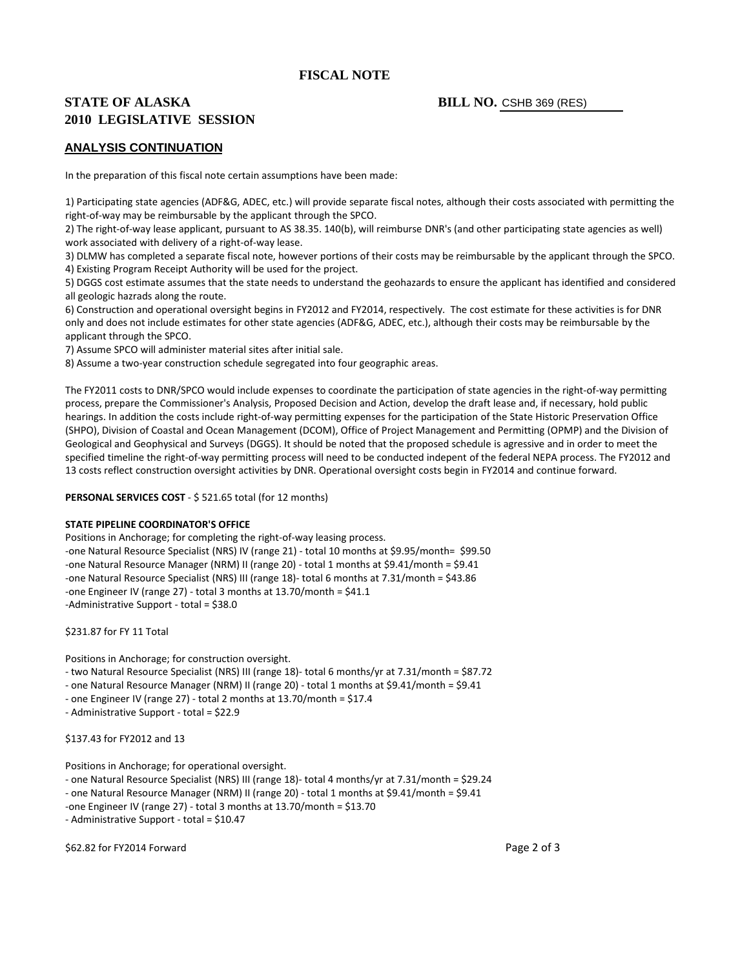**FISCAL NOTE**

# **2010 LEGISLATIVE SESSION STATE OF ALASKA**

# BILL NO. CSHB 369 (RES)

# **ANALYSIS CONTINUATION**

In the preparation of this fiscal note certain assumptions have been made:

1) Participating state agencies (ADF&G, ADEC, etc.) will provide separate fiscal notes, although their costs associated with permitting the right‐of‐way may be reimbursable by the applicant through the SPCO.

2) The right‐of‐way lease applicant, pursuant to AS 38.35. 140(b), will reimburse DNR's (and other participating state agencies as well) work associated with delivery of a right‐of‐way lease.

3) DLMW has completed a separate fiscal note, however portions of their costs may be reimbursable by the applicant through the SPCO. 4) Existing Program Receipt Authority will be used for the project.

5) DGGS cost estimate assumes that the state needs to understand the geohazards to ensure the applicant has identified and considered all geologic hazrads along the route.

6) Construction and operational oversight begins in FY2012 and FY2014, respectively. The cost estimate for these activities is for DNR only and does not include estimates for other state agencies (ADF&G, ADEC, etc.), although their costs may be reimbursable by the applicant through the SPCO.

7) Assume SPCO will administer material sites after initial sale.

8) Assume a two-year construction schedule segregated into four geographic areas.

The FY2011 costs to DNR/SPCO would include expenses to coordinate the participation of state agencies in the right-of-way permitting process, prepare the Commissioner's Analysis, Proposed Decision and Action, develop the draft lease and, if necessary, hold public hearings. In addition the costs include right‐of‐way permitting expenses for the participation of the State Historic Preservation Office (SHPO), Division of Coastal and Ocean Management (DCOM), Office of Project Management and Permitting (OPMP) and the Division of Geological and Geophysical and Surveys (DGGS). It should be noted that the proposed schedule is agressive and in order to meet the specified timeline the right‐of‐way permitting process will need to be conducted indepent of the federal NEPA process. The FY2012 and 13 costs reflect construction oversight activities by DNR. Operational oversight costs begin in FY2014 and continue forward.

**PERSONAL SERVICES COST** ‐ \$ 521.65 total (for 12 months)

# **STATE PIPELINE COORDINATOR'S OFFICE**

Positions in Anchorage; for completing the right‐of‐way leasing process. ‐one Natural Resource Specialist (NRS) IV (range 21) ‐ total 10 months at \$9.95/month= \$99.50 ‐one Natural Resource Manager (NRM) II (range 20) ‐ total 1 months at \$9.41/month = \$9.41 ‐one Natural Resource Specialist (NRS) III (range 18)‐ total 6 months at 7.31/month = \$43.86 ‐one Engineer IV (range 27) ‐ total 3 months at 13.70/month = \$41.1 ‐Administrative Support ‐ total = \$38.0

\$231.87 for FY 11 Total

Positions in Anchorage; for construction oversight.

‐ two Natural Resource Specialist (NRS) III (range 18)‐ total 6 months/yr at 7.31/month = \$87.72

‐ one Natural Resource Manager (NRM) II (range 20) ‐ total 1 months at \$9.41/month = \$9.41

- ‐ one Engineer IV (range 27) ‐ total 2 months at 13.70/month = \$17.4
- ‐ Administrative Support ‐ total = \$22.9

\$137.43 for FY2012 and 13

Positions in Anchorage; for operational oversight.

‐ one Natural Resource Specialist (NRS) III (range 18)‐ total 4 months/yr at 7.31/month = \$29.24

‐ one Natural Resource Manager (NRM) II (range 20) ‐ total 1 months at \$9.41/month = \$9.41

‐one Engineer IV (range 27) ‐ total 3 months at 13.70/month = \$13.70

‐ Administrative Support ‐ total = \$10.47

\$62.82 for FY2014 Forward Page 2 of 3